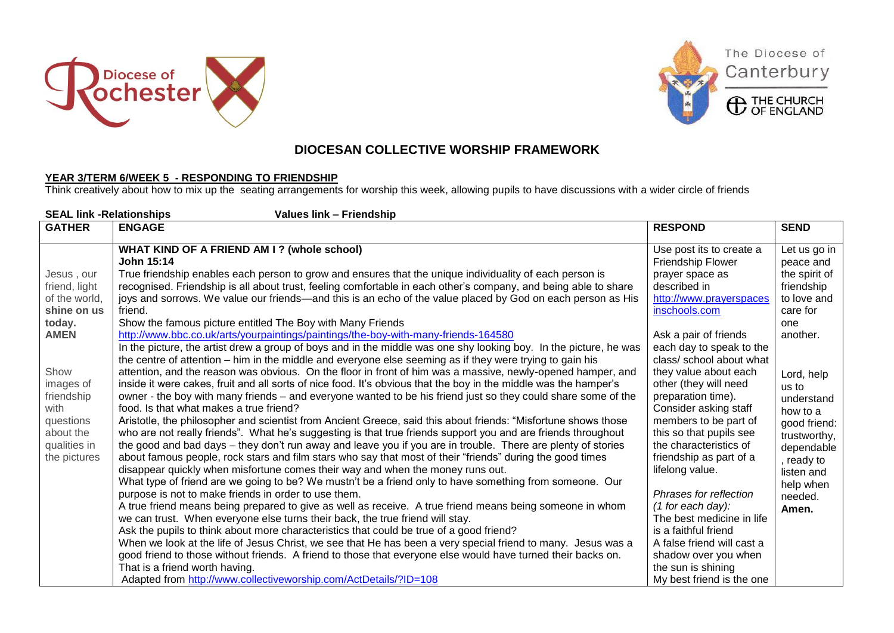







## **DIOCESAN COLLECTIVE WORSHIP FRAMEWORK**

## **YEAR 3/TERM 6/WEEK 5 - RESPONDING TO FRIENDSHIP**

Think creatively about how to mix up the seating arrangements for worship this week, allowing pupils to have discussions with a wider circle of friends

| <b>SEAL link -Relationships</b><br>Values link - Friendship                                                                                                                                |                                                                                                                                                                                                                                                                                                                                                                                                                                                                                                                                                                                                                                                                                                                                                                                                                                                                                                                                                                                                                                                                                                                                                                                                                                                                                                                                                                                                                                                                                                                                                                                                                                                                                                                                                                                                                                                                                                                                                                                                                                                                                                                                                                                                                                                                                                                                                                                                                                                                                            |                                                                                                                                                                                                                                                                                                                                                                                                                                                                                                                                                                                                                            |                                                                                                                                                                                                                                                                    |  |  |
|--------------------------------------------------------------------------------------------------------------------------------------------------------------------------------------------|--------------------------------------------------------------------------------------------------------------------------------------------------------------------------------------------------------------------------------------------------------------------------------------------------------------------------------------------------------------------------------------------------------------------------------------------------------------------------------------------------------------------------------------------------------------------------------------------------------------------------------------------------------------------------------------------------------------------------------------------------------------------------------------------------------------------------------------------------------------------------------------------------------------------------------------------------------------------------------------------------------------------------------------------------------------------------------------------------------------------------------------------------------------------------------------------------------------------------------------------------------------------------------------------------------------------------------------------------------------------------------------------------------------------------------------------------------------------------------------------------------------------------------------------------------------------------------------------------------------------------------------------------------------------------------------------------------------------------------------------------------------------------------------------------------------------------------------------------------------------------------------------------------------------------------------------------------------------------------------------------------------------------------------------------------------------------------------------------------------------------------------------------------------------------------------------------------------------------------------------------------------------------------------------------------------------------------------------------------------------------------------------------------------------------------------------------------------------------------------------|----------------------------------------------------------------------------------------------------------------------------------------------------------------------------------------------------------------------------------------------------------------------------------------------------------------------------------------------------------------------------------------------------------------------------------------------------------------------------------------------------------------------------------------------------------------------------------------------------------------------------|--------------------------------------------------------------------------------------------------------------------------------------------------------------------------------------------------------------------------------------------------------------------|--|--|
| <b>GATHER</b>                                                                                                                                                                              | <b>ENGAGE</b>                                                                                                                                                                                                                                                                                                                                                                                                                                                                                                                                                                                                                                                                                                                                                                                                                                                                                                                                                                                                                                                                                                                                                                                                                                                                                                                                                                                                                                                                                                                                                                                                                                                                                                                                                                                                                                                                                                                                                                                                                                                                                                                                                                                                                                                                                                                                                                                                                                                                              | <b>RESPOND</b>                                                                                                                                                                                                                                                                                                                                                                                                                                                                                                                                                                                                             | <b>SEND</b>                                                                                                                                                                                                                                                        |  |  |
| Jesus , our<br>friend, light<br>of the world,<br>shine on us<br>today.<br><b>AMEN</b><br>Show<br>images of<br>friendship<br>with<br>questions<br>about the<br>qualities in<br>the pictures | WHAT KIND OF A FRIEND AM I? (whole school)<br><b>John 15:14</b><br>True friendship enables each person to grow and ensures that the unique individuality of each person is<br>recognised. Friendship is all about trust, feeling comfortable in each other's company, and being able to share<br>joys and sorrows. We value our friends—and this is an echo of the value placed by God on each person as His<br>friend.<br>Show the famous picture entitled The Boy with Many Friends<br>http://www.bbc.co.uk/arts/yourpaintings/paintings/the-boy-with-many-friends-164580<br>In the picture, the artist drew a group of boys and in the middle was one shy looking boy. In the picture, he was<br>the centre of attention – him in the middle and everyone else seeming as if they were trying to gain his<br>attention, and the reason was obvious. On the floor in front of him was a massive, newly-opened hamper, and<br>inside it were cakes, fruit and all sorts of nice food. It's obvious that the boy in the middle was the hamper's<br>owner - the boy with many friends – and everyone wanted to be his friend just so they could share some of the<br>food. Is that what makes a true friend?<br>Aristotle, the philosopher and scientist from Ancient Greece, said this about friends: "Misfortune shows those<br>who are not really friends". What he's suggesting is that true friends support you and are friends throughout<br>the good and bad days – they don't run away and leave you if you are in trouble. There are plenty of stories<br>about famous people, rock stars and film stars who say that most of their "friends" during the good times<br>disappear quickly when misfortune comes their way and when the money runs out.<br>What type of friend are we going to be? We mustn't be a friend only to have something from someone. Our<br>purpose is not to make friends in order to use them.<br>A true friend means being prepared to give as well as receive. A true friend means being someone in whom<br>we can trust. When everyone else turns their back, the true friend will stay.<br>Ask the pupils to think about more characteristics that could be true of a good friend?<br>When we look at the life of Jesus Christ, we see that He has been a very special friend to many. Jesus was a<br>good friend to those without friends. A friend to those that everyone else would have turned their backs on.<br>That is a friend worth having. | Use post its to create a<br>Friendship Flower<br>prayer space as<br>described in<br>http://www.prayerspaces<br>inschools.com<br>Ask a pair of friends<br>each day to speak to the<br>class/ school about what<br>they value about each<br>other (they will need<br>preparation time).<br>Consider asking staff<br>members to be part of<br>this so that pupils see<br>the characteristics of<br>friendship as part of a<br>lifelong value.<br>Phrases for reflection<br>(1 for each day):<br>The best medicine in life<br>is a faithful friend<br>A false friend will cast a<br>shadow over you when<br>the sun is shining | Let us go in<br>peace and<br>the spirit of<br>friendship<br>to love and<br>care for<br>one<br>another.<br>Lord, help<br>us to<br>understand<br>how to a<br>good friend:<br>trustworthy,<br>dependable<br>, ready to<br>listen and<br>help when<br>needed.<br>Amen. |  |  |
|                                                                                                                                                                                            | Adapted from http://www.collectiveworship.com/ActDetails/?ID=108                                                                                                                                                                                                                                                                                                                                                                                                                                                                                                                                                                                                                                                                                                                                                                                                                                                                                                                                                                                                                                                                                                                                                                                                                                                                                                                                                                                                                                                                                                                                                                                                                                                                                                                                                                                                                                                                                                                                                                                                                                                                                                                                                                                                                                                                                                                                                                                                                           | My best friend is the one                                                                                                                                                                                                                                                                                                                                                                                                                                                                                                                                                                                                  |                                                                                                                                                                                                                                                                    |  |  |